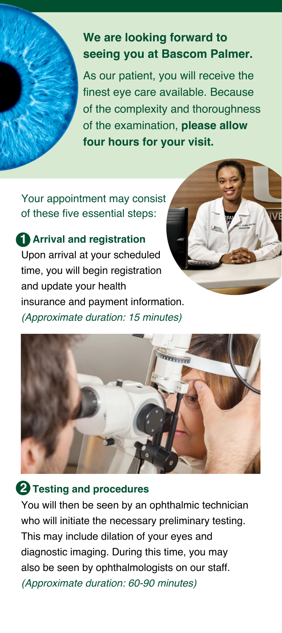

# **We are looking forward to seeing you at Bascom Palmer.**

As our patient, you will receive the finest eye care available. Because of the complexity and thoroughness of the examination, **please allow four hours for your visit.** 

Your appointment may consist of these five essential steps:

# **1** Arrival and registration

Upon arrival at your scheduled time, you will begin registration and update your health insurance and payment information. *(Approximate duration: 15 minutes)*





## **2 Testing and procedures**

You will then be seen by an ophthalmic technician who will initiate the necessary preliminary testing. This may include dilation of your eyes and diagnostic imaging. During this time, you may also be seen by ophthalmologists on our staff. *(Approximate duration: 60-90 minutes)*